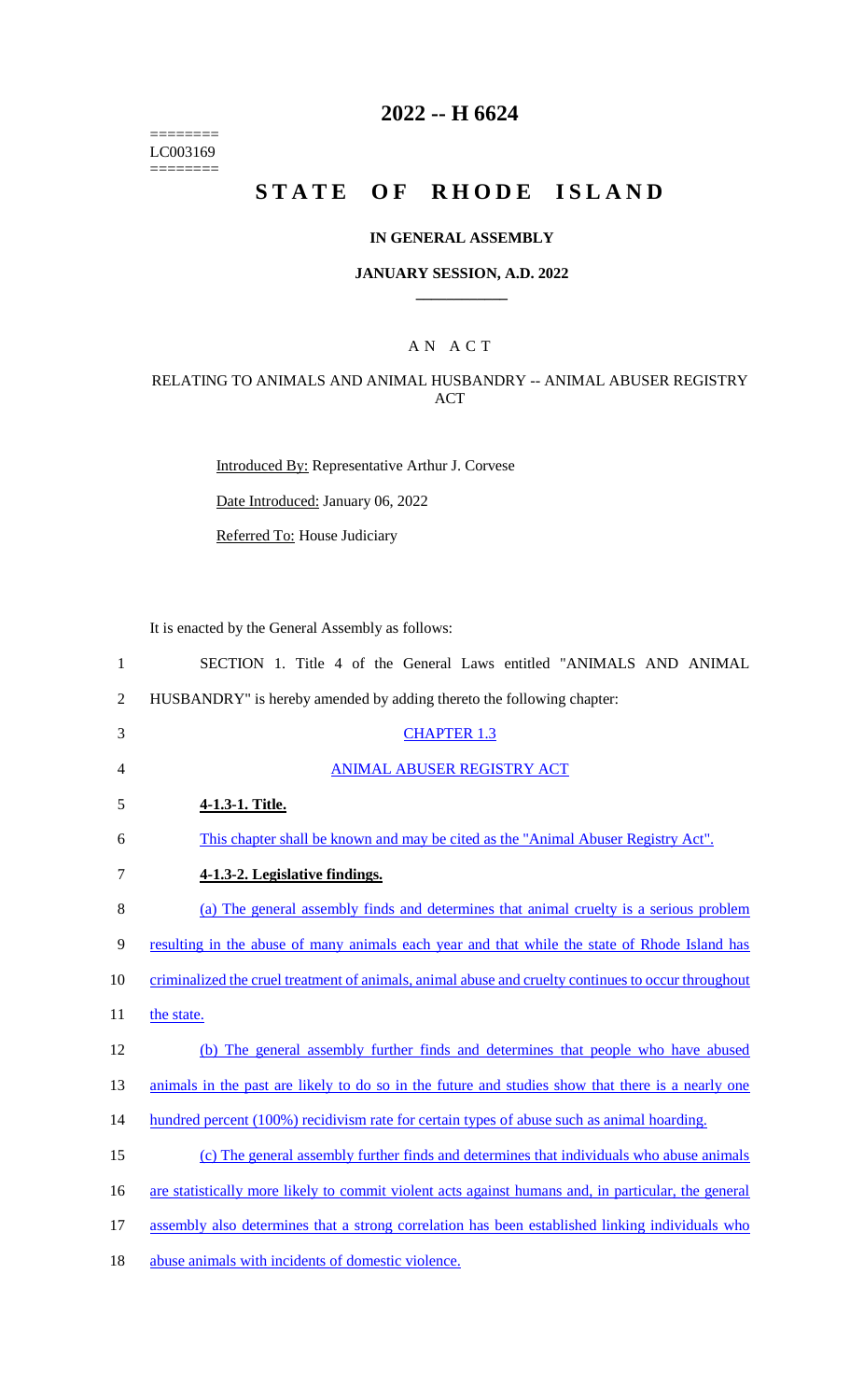======== LC003169  $=$ 

# **2022 -- H 6624**

# STATE OF RHODE ISLAND

## **IN GENERAL ASSEMBLY**

#### **JANUARY SESSION, A.D. 2022 \_\_\_\_\_\_\_\_\_\_\_\_**

# A N A C T

## RELATING TO ANIMALS AND ANIMAL HUSBANDRY -- ANIMAL ABUSER REGISTRY ACT

Introduced By: Representative Arthur J. Corvese

Date Introduced: January 06, 2022

Referred To: House Judiciary

It is enacted by the General Assembly as follows:

| $\mathbf{1}$   | SECTION 1. Title 4 of the General Laws entitled "ANIMALS AND ANIMAL                                 |
|----------------|-----------------------------------------------------------------------------------------------------|
| $\overline{2}$ | HUSBANDRY" is hereby amended by adding thereto the following chapter:                               |
| 3              | <b>CHAPTER 1.3</b>                                                                                  |
| $\overline{4}$ | <b>ANIMAL ABUSER REGISTRY ACT</b>                                                                   |
| 5              | 4-1.3-1. Title.                                                                                     |
| 6              | This chapter shall be known and may be cited as the "Animal Abuser Registry Act".                   |
| $\tau$         | 4-1.3-2. Legislative findings.                                                                      |
| 8              | (a) The general assembly finds and determines that animal cruelty is a serious problem              |
| 9              | resulting in the abuse of many animals each year and that while the state of Rhode Island has       |
| 10             | criminalized the cruel treatment of animals, animal abuse and cruelty continues to occur throughout |
| 11             | the state.                                                                                          |
| 12             | (b) The general assembly further finds and determines that people who have abused                   |
| 13             | animals in the past are likely to do so in the future and studies show that there is a nearly one   |
| 14             | hundred percent (100%) recidivism rate for certain types of abuse such as animal hoarding.          |
| 15             | (c) The general assembly further finds and determines that individuals who abuse animals            |
| 16             | are statistically more likely to commit violent acts against humans and, in particular, the general |
| 17             | assembly also determines that a strong correlation has been established linking individuals who     |
| 18             | abuse animals with incidents of domestic violence.                                                  |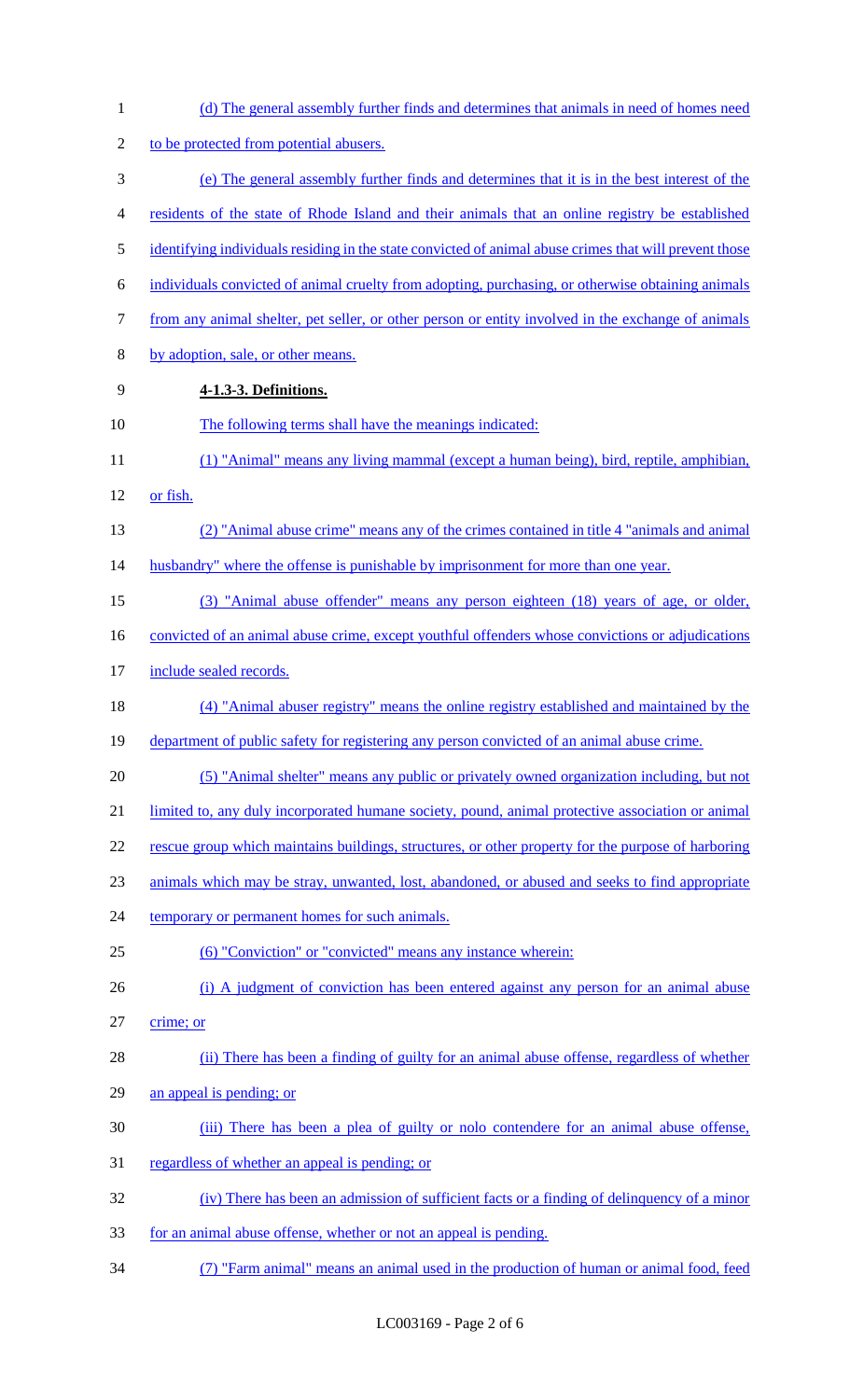| $\mathbf{1}$   | (d) The general assembly further finds and determines that animals in need of homes need               |
|----------------|--------------------------------------------------------------------------------------------------------|
| $\overline{c}$ | to be protected from potential abusers.                                                                |
| 3              | (e) The general assembly further finds and determines that it is in the best interest of the           |
| 4              | residents of the state of Rhode Island and their animals that an online registry be established        |
| 5              | identifying individuals residing in the state convicted of animal abuse crimes that will prevent those |
| 6              | individuals convicted of animal cruelty from adopting, purchasing, or otherwise obtaining animals      |
| 7              | from any animal shelter, pet seller, or other person or entity involved in the exchange of animals     |
| 8              | by adoption, sale, or other means.                                                                     |
| 9              | 4-1.3-3. Definitions.                                                                                  |
| 10             | The following terms shall have the meanings indicated:                                                 |
| 11             | (1) "Animal" means any living mammal (except a human being), bird, reptile, amphibian,                 |
| 12             | or fish.                                                                                               |
| 13             | (2) "Animal abuse crime" means any of the crimes contained in title 4 "animals and animal"             |
| 14             | husbandry" where the offense is punishable by imprisonment for more than one year.                     |
| 15             | (3) "Animal abuse offender" means any person eighteen (18) years of age, or older,                     |
| 16             | convicted of an animal abuse crime, except youthful offenders whose convictions or adjudications       |
| 17             | include sealed records.                                                                                |
| 18             | (4) "Animal abuser registry" means the online registry established and maintained by the               |
| 19             | department of public safety for registering any person convicted of an animal abuse crime.             |
| 20             | (5) "Animal shelter" means any public or privately owned organization including, but not               |
| 21             | limited to, any duly incorporated humane society, pound, animal protective association or animal       |
| 22             | rescue group which maintains buildings, structures, or other property for the purpose of harboring     |
| 23             | animals which may be stray, unwanted, lost, abandoned, or abused and seeks to find appropriate         |
| 24             | temporary or permanent homes for such animals.                                                         |
| 25             | (6) "Conviction" or "convicted" means any instance wherein:                                            |
| 26             | (i) A judgment of conviction has been entered against any person for an animal abuse                   |
| 27             | crime; or                                                                                              |
| 28             | (ii) There has been a finding of guilty for an animal abuse offense, regardless of whether             |
| 29             | an appeal is pending; or                                                                               |
| 30             | (iii) There has been a plea of guilty or not contendere for an animal abuse offense,                   |
| 31             | regardless of whether an appeal is pending; or                                                         |
| 32             | (iv) There has been an admission of sufficient facts or a finding of delinquency of a minor            |
| 33             | for an animal abuse offense, whether or not an appeal is pending.                                      |
| 34             | (7) "Farm animal" means an animal used in the production of human or animal food, feed                 |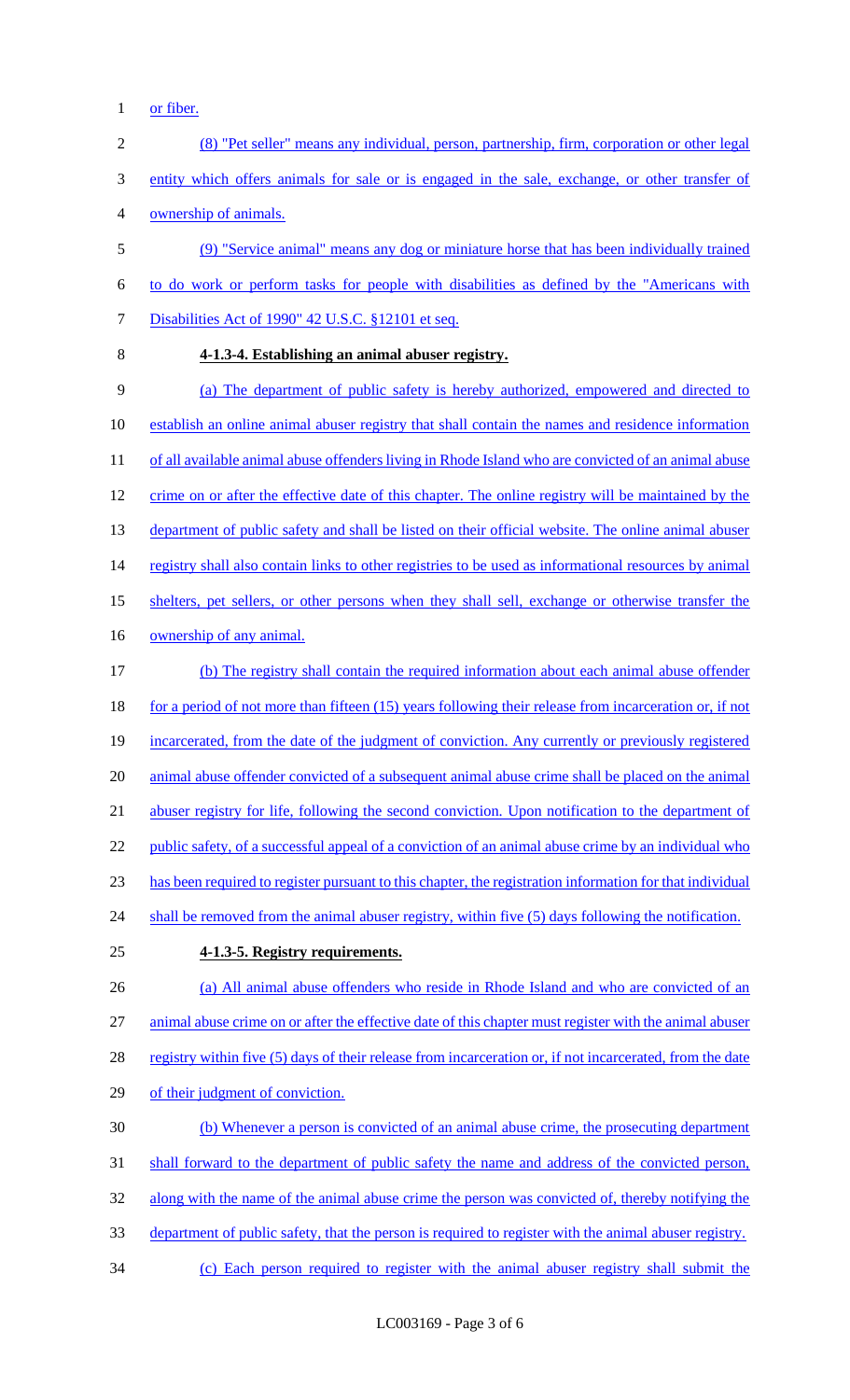- 1 or fiber.
- 2 (8) "Pet seller" means any individual, person, partnership, firm, corporation or other legal 3 entity which offers animals for sale or is engaged in the sale, exchange, or other transfer of 4 ownership of animals. 5 (9) "Service animal" means any dog or miniature horse that has been individually trained 6 to do work or perform tasks for people with disabilities as defined by the "Americans with
- 

## 8 **4-1.3-4. Establishing an animal abuser registry.**

7 Disabilities Act of 1990" 42 U.S.C. §12101 et seq.

9 (a) The department of public safety is hereby authorized, empowered and directed to 10 establish an online animal abuser registry that shall contain the names and residence information 11 of all available animal abuse offenders living in Rhode Island who are convicted of an animal abuse 12 crime on or after the effective date of this chapter. The online registry will be maintained by the 13 department of public safety and shall be listed on their official website. The online animal abuser 14 registry shall also contain links to other registries to be used as informational resources by animal 15 shelters, pet sellers, or other persons when they shall sell, exchange or otherwise transfer the 16 ownership of any animal. 17 (b) The registry shall contain the required information about each animal abuse offender 18 for a period of not more than fifteen (15) years following their release from incarceration or, if not 19 incarcerated, from the date of the judgment of conviction. Any currently or previously registered 20 animal abuse offender convicted of a subsequent animal abuse crime shall be placed on the animal 21 abuser registry for life, following the second conviction. Upon notification to the department of 22 public safety, of a successful appeal of a conviction of an animal abuse crime by an individual who 23 has been required to register pursuant to this chapter, the registration information for that individual 24 shall be removed from the animal abuser registry, within five (5) days following the notification. 25 **4-1.3-5. Registry requirements.** 26 (a) All animal abuse offenders who reside in Rhode Island and who are convicted of an

27 animal abuse crime on or after the effective date of this chapter must register with the animal abuser 28 registry within five (5) days of their release from incarceration or, if not incarcerated, from the date

- 29 of their judgment of conviction.
- 30 (b) Whenever a person is convicted of an animal abuse crime, the prosecuting department
- 31 shall forward to the department of public safety the name and address of the convicted person,
- 32 along with the name of the animal abuse crime the person was convicted of, thereby notifying the
- 33 department of public safety, that the person is required to register with the animal abuser registry.
- 34 (c) Each person required to register with the animal abuser registry shall submit the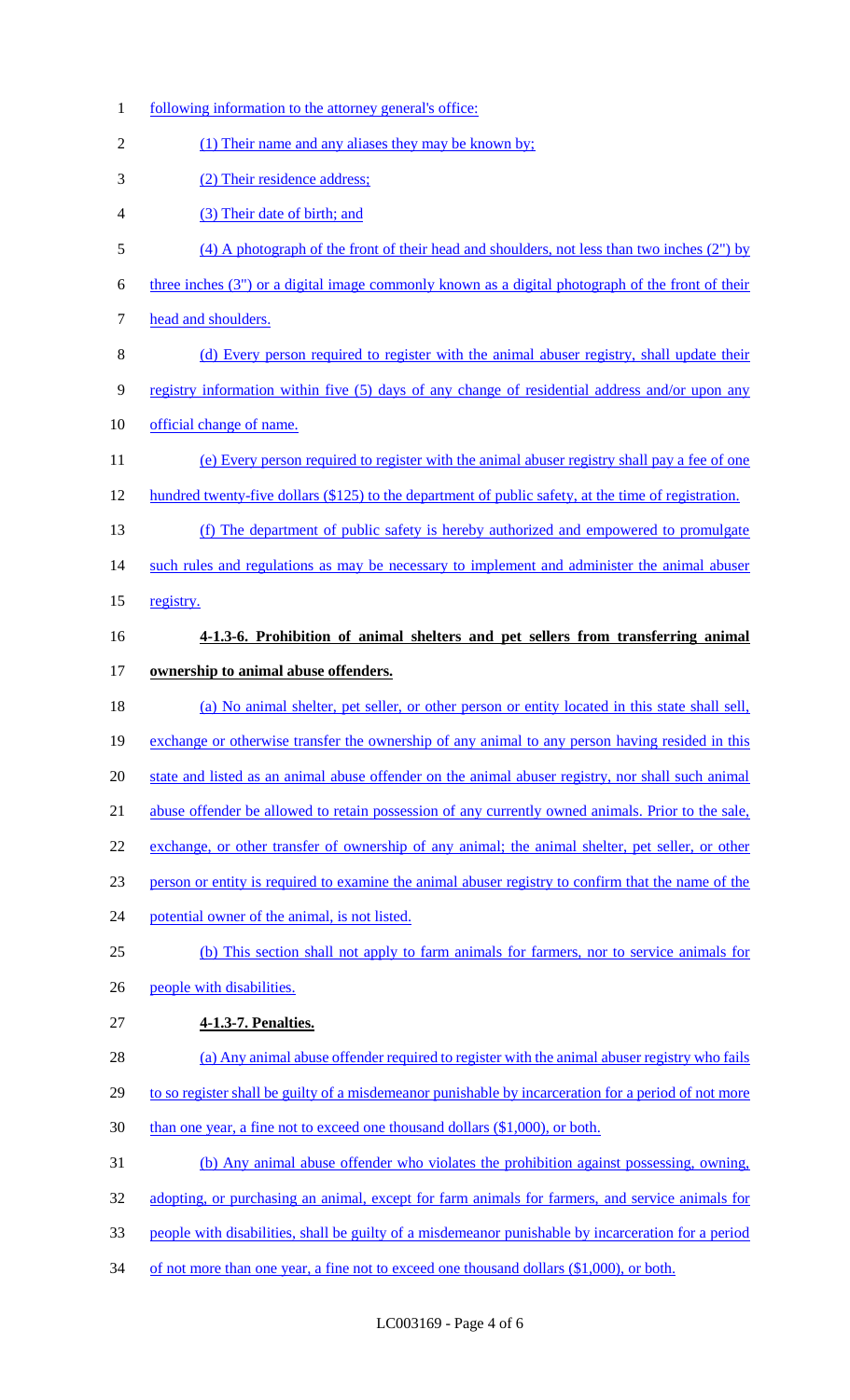| $\mathbf{1}$   | following information to the attorney general's office:                                              |
|----------------|------------------------------------------------------------------------------------------------------|
| $\overline{2}$ | (1) Their name and any aliases they may be known by;                                                 |
| 3              | (2) Their residence address;                                                                         |
| 4              | (3) Their date of birth; and                                                                         |
| 5              | $(4)$ A photograph of the front of their head and shoulders, not less than two inches $(2n)$ by      |
| 6              | three inches (3") or a digital image commonly known as a digital photograph of the front of their    |
| 7              | head and shoulders.                                                                                  |
| 8              | (d) Every person required to register with the animal abuser registry, shall update their            |
| 9              | registry information within five (5) days of any change of residential address and/or upon any       |
| 10             | official change of name.                                                                             |
| 11             | (e) Every person required to register with the animal abuser registry shall pay a fee of one         |
| 12             | hundred twenty-five dollars (\$125) to the department of public safety, at the time of registration. |
| 13             | (f) The department of public safety is hereby authorized and empowered to promulgate                 |
| 14             | such rules and regulations as may be necessary to implement and administer the animal abuser         |
| 15             | registry.                                                                                            |
| 16             | 4-1.3-6. Prohibition of animal shelters and pet sellers from transferring animal                     |
| 17             | ownership to animal abuse offenders.                                                                 |
| 18             | (a) No animal shelter, pet seller, or other person or entity located in this state shall sell,       |
| 19             | exchange or otherwise transfer the ownership of any animal to any person having resided in this      |
| 20             | state and listed as an animal abuse offender on the animal abuser registry, nor shall such animal    |
| 21             | abuse offender be allowed to retain possession of any currently owned animals. Prior to the sale,    |
| 22             | exchange, or other transfer of ownership of any animal; the animal shelter, pet seller, or other     |
| 23             | person or entity is required to examine the animal abuser registry to confirm that the name of the   |
| 24             | potential owner of the animal, is not listed.                                                        |
| 25             | (b) This section shall not apply to farm animals for farmers, nor to service animals for             |
| 26             | people with disabilities.                                                                            |
| 27             | 4-1.3-7. Penalties.                                                                                  |
| 28             | (a) Any animal abuse offender required to register with the animal abuser registry who fails         |
| 29             | to so register shall be guilty of a misdemeanor punishable by incarceration for a period of not more |
| 30             | than one year, a fine not to exceed one thousand dollars (\$1,000), or both.                         |
| 31             | (b) Any animal abuse offender who violates the prohibition against possessing, owning,               |
| 32             | adopting, or purchasing an animal, except for farm animals for farmers, and service animals for      |
| 33             | people with disabilities, shall be guilty of a misdemeanor punishable by incarceration for a period  |
| 34             | of not more than one year, a fine not to exceed one thousand dollars (\$1,000), or both.             |
|                |                                                                                                      |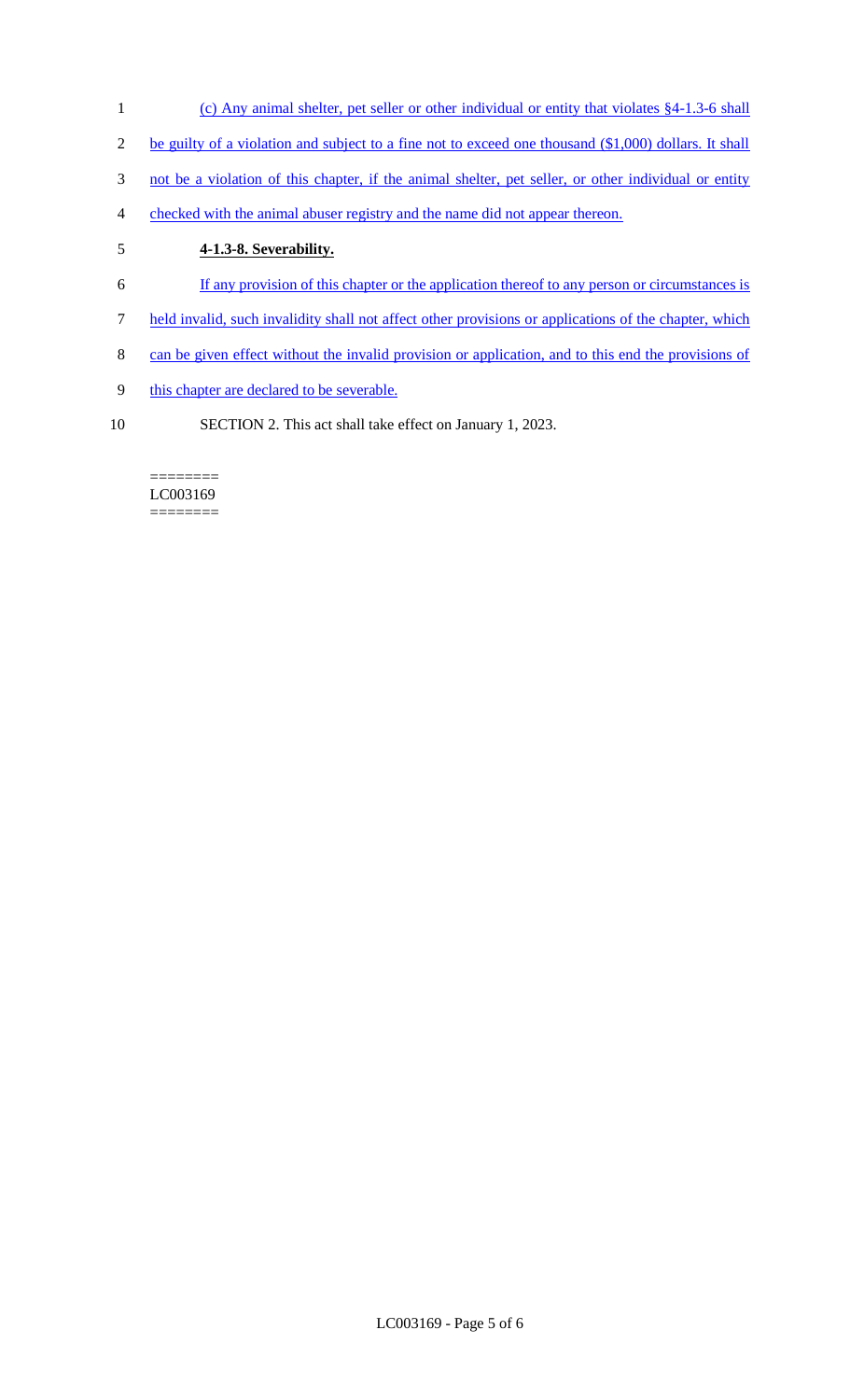- 1 (c) Any animal shelter, pet seller or other individual or entity that violates §4-1.3-6 shall
- 2 be guilty of a violation and subject to a fine not to exceed one thousand (\$1,000) dollars. It shall
- 3 not be a violation of this chapter, if the animal shelter, pet seller, or other individual or entity
- 4 checked with the animal abuser registry and the name did not appear thereon.

# 5 **4-1.3-8. Severability.**

- 6 If any provision of this chapter or the application thereof to any person or circumstances is
- 7 held invalid, such invalidity shall not affect other provisions or applications of the chapter, which
- 8 can be given effect without the invalid provision or application, and to this end the provisions of
- 9 this chapter are declared to be severable.
- 10 SECTION 2. This act shall take effect on January 1, 2023.

#### ======== LC003169 ========